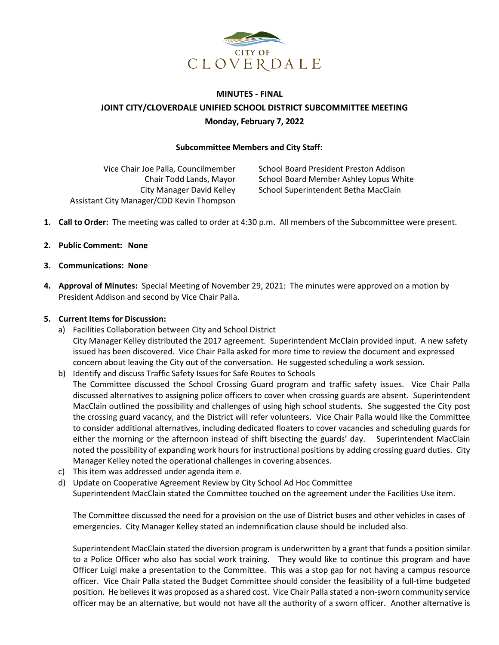

# **MINUTES - FINAL JOINT CITY/CLOVERDALE UNIFIED SCHOOL DISTRICT SUBCOMMITTEE MEETING Monday, February 7, 2022**

#### **Subcommittee Members and City Staff:**

Vice Chair Joe Palla, Councilmember Chair Todd Lands, Mayor City Manager David Kelley Assistant City Manager/CDD Kevin Thompson

School Board President Preston Addison School Board Member Ashley Lopus White School Superintendent Betha MacClain

- **1. Call to Order:** The meeting was called to order at 4:30 p.m. All members of the Subcommittee were present.
- **2. Public Comment: None**
- **3. Communications: None**
- **4. Approval of Minutes:** Special Meeting of November 29, 2021: The minutes were approved on a motion by President Addison and second by Vice Chair Palla.

# **5. Current Items for Discussion:**

- a) Facilities Collaboration between City and School District City Manager Kelley distributed the 2017 agreement. Superintendent McClain provided input. A new safety issued has been discovered. Vice Chair Palla asked for more time to review the document and expressed concern about leaving the City out of the conversation. He suggested scheduling a work session.
- b) Identify and discuss Traffic Safety Issues for Safe Routes to Schools The Committee discussed the School Crossing Guard program and traffic safety issues. Vice Chair Palla discussed alternatives to assigning police officers to cover when crossing guards are absent. Superintendent MacClain outlined the possibility and challenges of using high school students. She suggested the City post the crossing guard vacancy, and the District will refer volunteers. Vice Chair Palla would like the Committee to consider additional alternatives, including dedicated floaters to cover vacancies and scheduling guards for either the morning or the afternoon instead of shift bisecting the guards' day. Superintendent MacClain noted the possibility of expanding work hours for instructional positions by adding crossing guard duties. City Manager Kelley noted the operational challenges in covering absences.
- c) This item was addressed under agenda item e.
- d) Update on Cooperative Agreement Review by City School Ad Hoc Committee Superintendent MacClain stated the Committee touched on the agreement under the Facilities Use item.

The Committee discussed the need for a provision on the use of District buses and other vehicles in cases of emergencies. City Manager Kelley stated an indemnification clause should be included also.

Superintendent MacClain stated the diversion program is underwritten by a grant that funds a position similar to a Police Officer who also has social work training. They would like to continue this program and have Officer Luigi make a presentation to the Committee. This was a stop gap for not having a campus resource officer. Vice Chair Palla stated the Budget Committee should consider the feasibility of a full-time budgeted position. He believes it was proposed as a shared cost. Vice Chair Palla stated a non-sworn community service officer may be an alternative, but would not have all the authority of a sworn officer. Another alternative is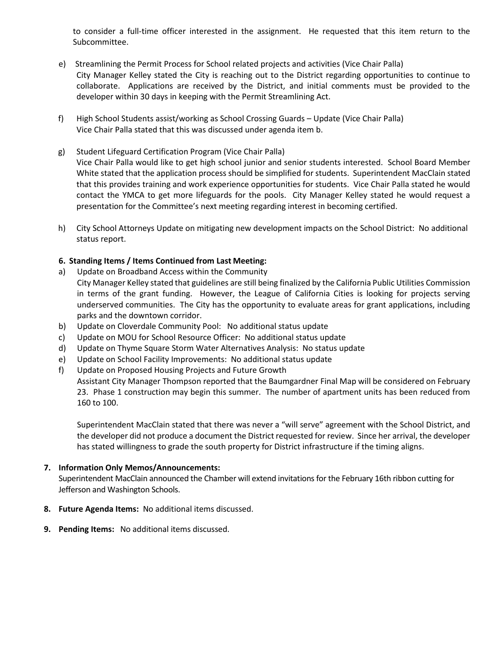to consider a full-time officer interested in the assignment. He requested that this item return to the Subcommittee.

- e) Streamlining the Permit Process for School related projects and activities (Vice Chair Palla) City Manager Kelley stated the City is reaching out to the District regarding opportunities to continue to collaborate. Applications are received by the District, and initial comments must be provided to the developer within 30 days in keeping with the Permit Streamlining Act.
- f) High School Students assist/working as School Crossing Guards Update (Vice Chair Palla) Vice Chair Palla stated that this was discussed under agenda item b.
- g) Student Lifeguard Certification Program (Vice Chair Palla) Vice Chair Palla would like to get high school junior and senior students interested. School Board Member White stated that the application process should be simplified for students. Superintendent MacClain stated that this provides training and work experience opportunities for students. Vice Chair Palla stated he would contact the YMCA to get more lifeguards for the pools. City Manager Kelley stated he would request a presentation for the Committee's next meeting regarding interest in becoming certified.
- h) City School Attorneys Update on mitigating new development impacts on the School District: No additional status report.

## **6. Standing Items / Items Continued from Last Meeting:**

- a) Update on Broadband Access within the Community City Manager Kelley stated that guidelines are still being finalized by the California Public Utilities Commission in terms of the grant funding. However, the League of California Cities is looking for projects serving underserved communities. The City has the opportunity to evaluate areas for grant applications, including parks and the downtown corridor.
- b) Update on Cloverdale Community Pool: No additional status update
- c) Update on MOU for School Resource Officer: No additional status update
- d) Update on Thyme Square Storm Water Alternatives Analysis: No status update
- e) Update on School Facility Improvements: No additional status update
- f) Update on Proposed Housing Projects and Future Growth

Assistant City Manager Thompson reported that the Baumgardner Final Map will be considered on February 23. Phase 1 construction may begin this summer. The number of apartment units has been reduced from 160 to 100.

Superintendent MacClain stated that there was never a "will serve" agreement with the School District, and the developer did not produce a document the District requested for review. Since her arrival, the developer has stated willingness to grade the south property for District infrastructure if the timing aligns.

## **7. Information Only Memos/Announcements:**

Superintendent MacClain announced the Chamber will extend invitations for the February 16th ribbon cutting for Jefferson and Washington Schools.

- **8. Future Agenda Items:** No additional items discussed.
- **9. Pending Items:** No additional items discussed.